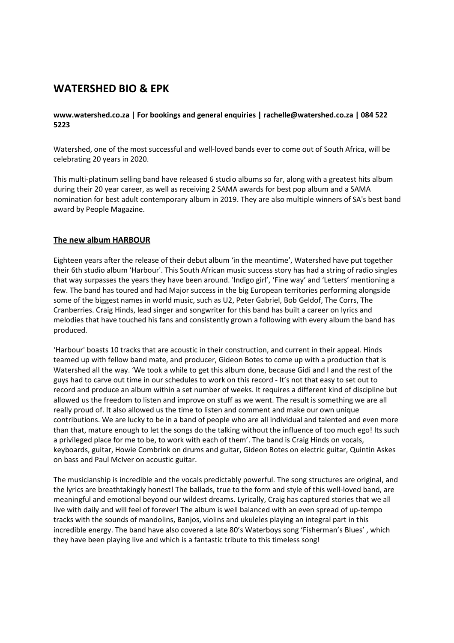# **WATERSHED BIO & EPK**

# **www.watershed.co.za | For bookings and general enquiries | rachelle@watershed.co.za | 084 522 5223**

Watershed, one of the most successful and well-loved bands ever to come out of South Africa, will be celebrating 20 years in 2020.

This multi-platinum selling band have released 6 studio albums so far, along with a greatest hits album during their 20 year career, as well as receiving 2 SAMA awards for best pop album and a SAMA nomination for best adult contemporary album in 2019. They are also multiple winners of SA's best band award by People Magazine.

# **The new album HARBOUR**

Eighteen years after the release of their debut album 'in the meantime', Watershed have put together their 6th studio album 'Harbour'. This South African music success story has had a string of radio singles that way surpasses the years they have been around. 'Indigo girl', 'Fine way' and 'Letters' mentioning a few. The band has toured and had Major success in the big European territories performing alongside some of the biggest names in world music, such as U2, Peter Gabriel, Bob Geldof, The Corrs, The Cranberries. Craig Hinds, lead singer and songwriter for this band has built a career on lyrics and melodies that have touched his fans and consistently grown a following with every album the band has produced.

'Harbour' boasts 10 tracks that are acoustic in their construction, and current in their appeal. Hinds teamed up with fellow band mate, and producer, Gideon Botes to come up with a production that is Watershed all the way. 'We took a while to get this album done, because Gidi and I and the rest of the guys had to carve out time in our schedules to work on this record - It's not that easy to set out to record and produce an album within a set number of weeks. It requires a different kind of discipline but allowed us the freedom to listen and improve on stuff as we went. The result is something we are all really proud of. It also allowed us the time to listen and comment and make our own unique contributions. We are lucky to be in a band of people who are all individual and talented and even more than that, mature enough to let the songs do the talking without the influence of too much ego! Its such a privileged place for me to be, to work with each of them'. The band is Craig Hinds on vocals, keyboards, guitar, Howie Combrink on drums and guitar, Gideon Botes on electric guitar, Quintin Askes on bass and Paul McIver on acoustic guitar.

The musicianship is incredible and the vocals predictably powerful. The song structures are original, and the lyrics are breathtakingly honest! The ballads, true to the form and style of this well-loved band, are meaningful and emotional beyond our wildest dreams. Lyrically, Craig has captured stories that we all live with daily and will feel of forever! The album is well balanced with an even spread of up-tempo tracks with the sounds of mandolins, Banjos, violins and ukuleles playing an integral part in this incredible energy. The band have also covered a late 80's Waterboys song 'Fisherman's Blues' , which they have been playing live and which is a fantastic tribute to this timeless song!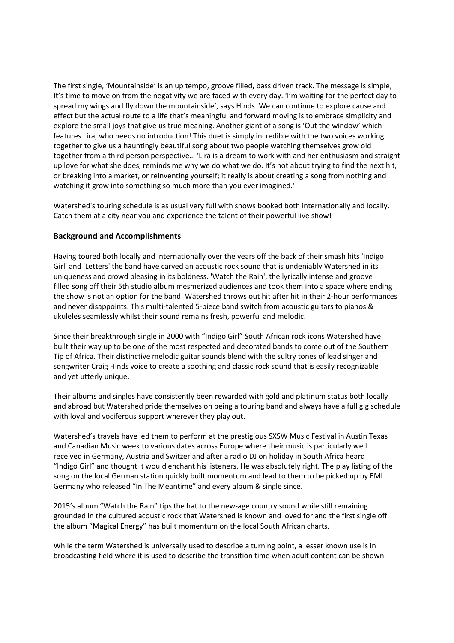The first single, 'Mountainside' is an up tempo, groove filled, bass driven track. The message is simple, It's time to move on from the negativity we are faced with every day. 'I'm waiting for the perfect day to spread my wings and fly down the mountainside', says Hinds. We can continue to explore cause and effect but the actual route to a life that's meaningful and forward moving is to embrace simplicity and explore the small joys that give us true meaning. Another giant of a song is 'Out the window' which features Lira, who needs no introduction! This duet is simply incredible with the two voices working together to give us a hauntingly beautiful song about two people watching themselves grow old together from a third person perspective… 'Lira is a dream to work with and her enthusiasm and straight up love for what she does, reminds me why we do what we do. It's not about trying to find the next hit, or breaking into a market, or reinventing yourself; it really is about creating a song from nothing and watching it grow into something so much more than you ever imagined.'

Watershed's touring schedule is as usual very full with shows booked both internationally and locally. Catch them at a city near you and experience the talent of their powerful live show!

## **Background and Accomplishments**

Having toured both locally and internationally over the years off the back of their smash hits 'Indigo Girl' and 'Letters' the band have carved an acoustic rock sound that is undeniably Watershed in its uniqueness and crowd pleasing in its boldness. 'Watch the Rain', the lyrically intense and groove filled song off their 5th studio album mesmerized audiences and took them into a space where ending the show is not an option for the band. Watershed throws out hit after hit in their 2-hour performances and never disappoints. This multi-talented 5-piece band switch from acoustic guitars to pianos & ukuleles seamlessly whilst their sound remains fresh, powerful and melodic.

Since their breakthrough single in 2000 with "Indigo Girl" South African rock icons Watershed have built their way up to be one of the most respected and decorated bands to come out of the Southern Tip of Africa. Their distinctive melodic guitar sounds blend with the sultry tones of lead singer and songwriter Craig Hinds voice to create a soothing and classic rock sound that is easily recognizable and yet utterly unique.

Their albums and singles have consistently been rewarded with gold and platinum status both locally and abroad but Watershed pride themselves on being a touring band and always have a full gig schedule with loyal and vociferous support wherever they play out.

Watershed's travels have led them to perform at the prestigious SXSW Music Festival in Austin Texas and Canadian Music week to various dates across Europe where their music is particularly well received in Germany, Austria and Switzerland after a radio DJ on holiday in South Africa heard "Indigo Girl" and thought it would enchant his listeners. He was absolutely right. The play listing of the song on the local German station quickly built momentum and lead to them to be picked up by EMI Germany who released "In The Meantime" and every album & single since.

2015's album "Watch the Rain" tips the hat to the new-age country sound while still remaining grounded in the cultured acoustic rock that Watershed is known and loved for and the first single off the album "Magical Energy" has built momentum on the local South African charts.

While the term Watershed is universally used to describe a turning point, a lesser known use is in broadcasting field where it is used to describe the transition time when adult content can be shown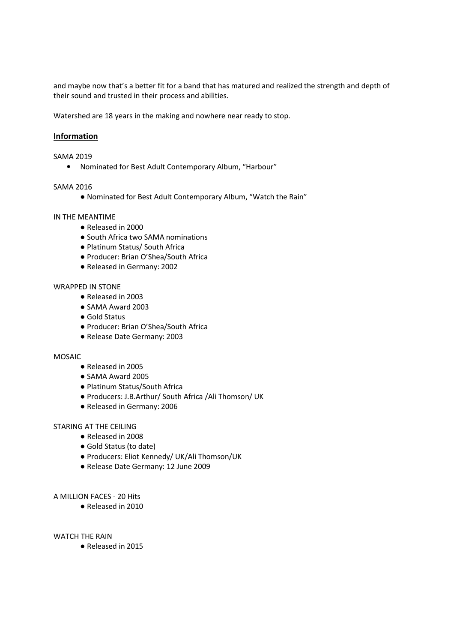and maybe now that's a better fit for a band that has matured and realized the strength and depth of their sound and trusted in their process and abilities.

Watershed are 18 years in the making and nowhere near ready to stop.

# **Information**

#### SAMA 2019

• Nominated for Best Adult Contemporary Album, "Harbour"

## SAMA 2016

● Nominated for Best Adult Contemporary Album, "Watch the Rain"

## IN THE MEANTIME

- Released in 2000
- South Africa two SAMA nominations
- Platinum Status/ South Africa
- Producer: Brian O'Shea/South Africa
- Released in Germany: 2002

#### WRAPPED IN STONE

- Released in 2003
- SAMA Award 2003
- Gold Status
- Producer: Brian O'Shea/South Africa
- Release Date Germany: 2003

#### MOSAIC

- Released in 2005
- SAMA Award 2005
- Platinum Status/South Africa
- Producers: J.B.Arthur/ South Africa /Ali Thomson/ UK
- Released in Germany: 2006

## STARING AT THE CEILING

- Released in 2008
- Gold Status (to date)
- Producers: Eliot Kennedy/ UK/Ali Thomson/UK
- Release Date Germany: 12 June 2009

#### A MILLION FACES - 20 Hits

● Released in 2010

#### WATCH THE RAIN

● Released in 2015